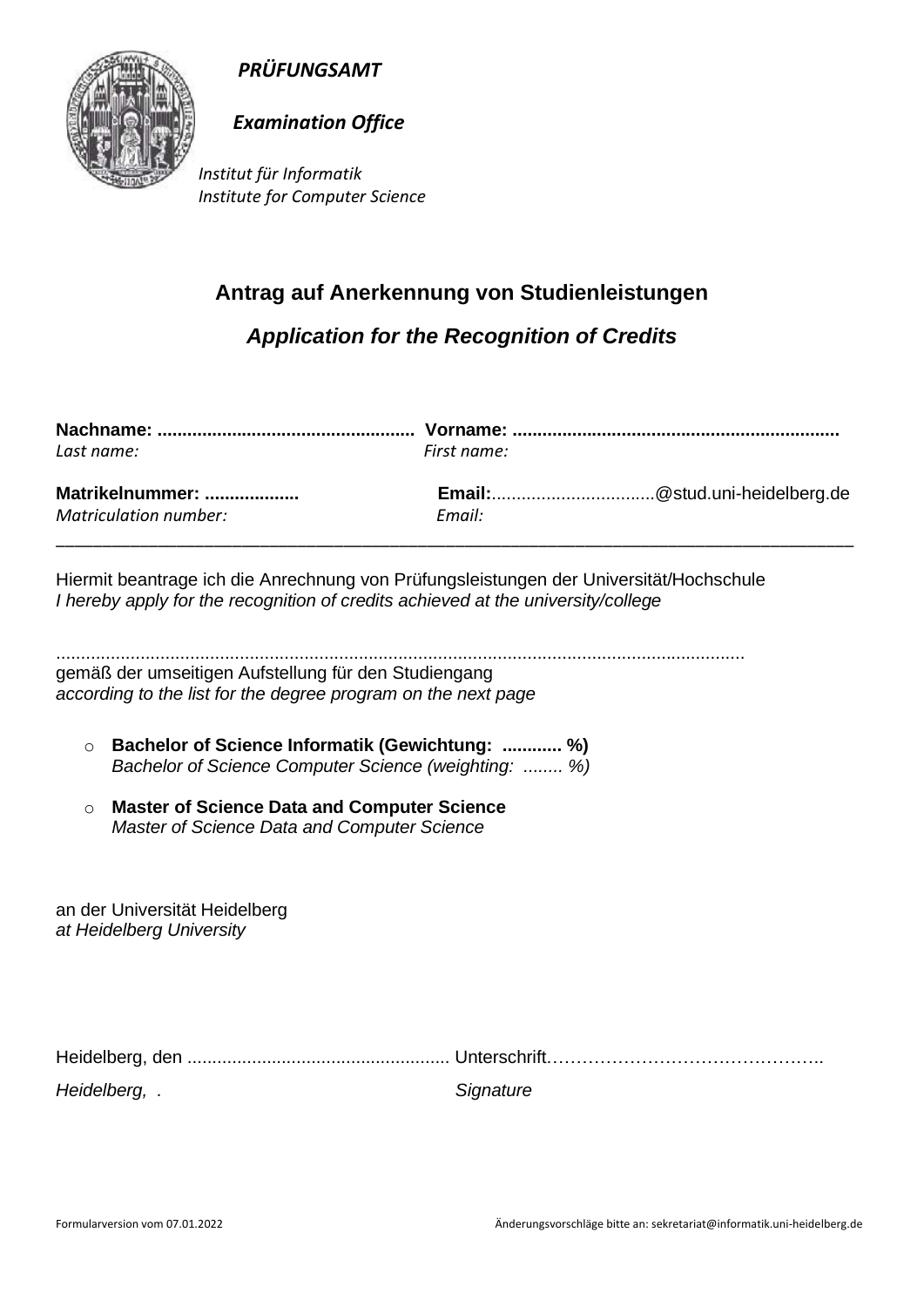



## *Examination Office*

*Institut für Informatik Institute for Computer Science*

## **Antrag auf Anerkennung von Studienleistungen**

*Application for the Recognition of Credits*

| Last name:                                      | First name: |                               |
|-------------------------------------------------|-------------|-------------------------------|
| Matrikelnummer:<br><b>Matriculation number:</b> | Email:      | Email:@stud.uni-heidelberg.de |
|                                                 |             |                               |

Hiermit beantrage ich die Anrechnung von Prüfungsleistungen der Universität/Hochschule *I hereby apply for the recognition of credits achieved at the university/college* 

........................................................................................................................................... gemäß der umseitigen Aufstellung für den Studiengang *according to the list for the degree program on the next page*

- o **Bachelor of Science Informatik (Gewichtung: ............ %)** *Bachelor of Science Computer Science (weighting: ........ %)*
- o **Master of Science Data and Computer Science**  *Master of Science Data and Computer Science*

an der Universität Heidelberg *at Heidelberg University*

| Heidelberg, . | Signature |
|---------------|-----------|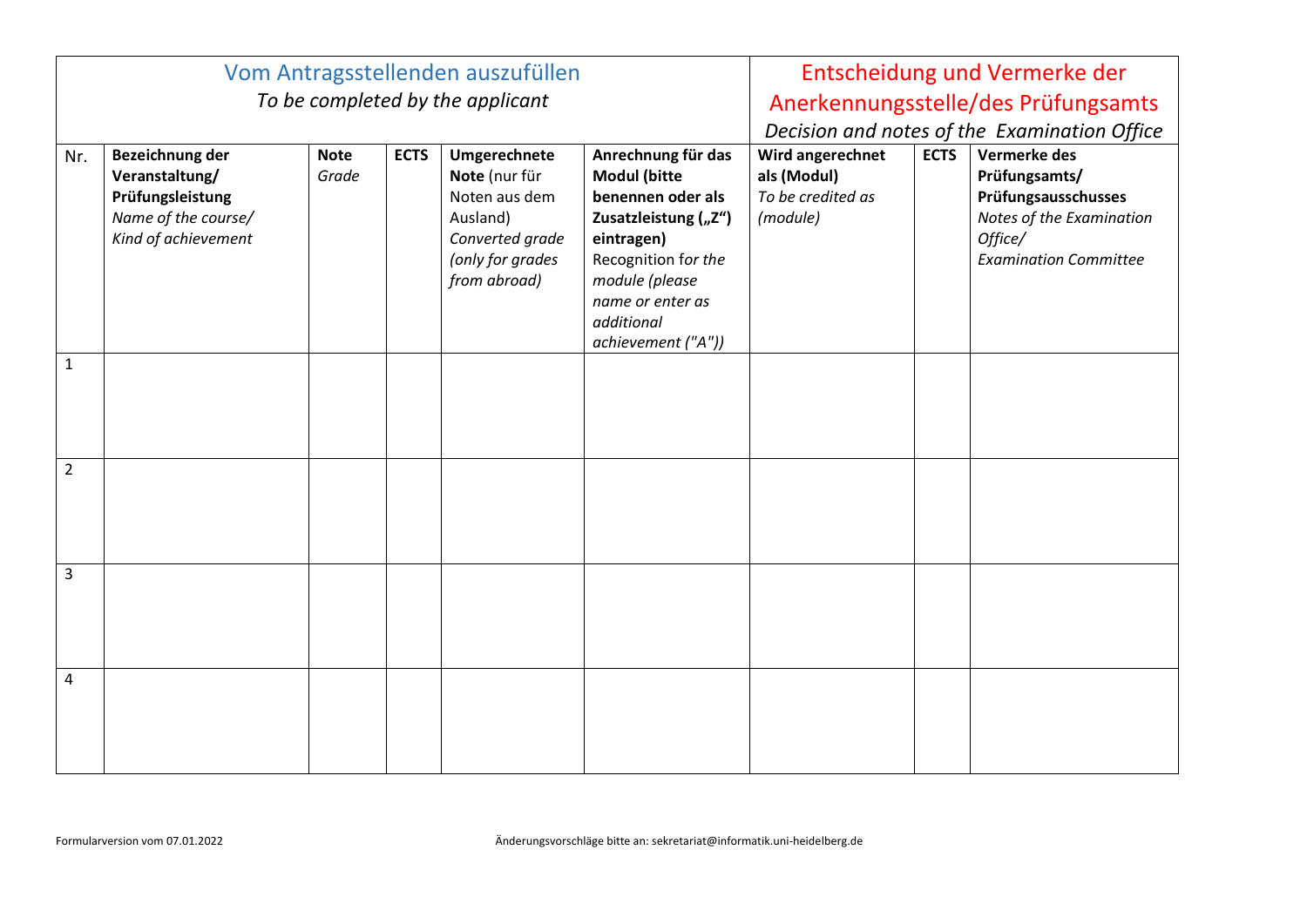| Vom Antragsstellenden auszufüllen |                                                                                                     |                      |             |                                                                                                                   | Entscheidung und Vermerke der                                                                                                                                                                         |                                                                  |             |                                                                                                                             |
|-----------------------------------|-----------------------------------------------------------------------------------------------------|----------------------|-------------|-------------------------------------------------------------------------------------------------------------------|-------------------------------------------------------------------------------------------------------------------------------------------------------------------------------------------------------|------------------------------------------------------------------|-------------|-----------------------------------------------------------------------------------------------------------------------------|
| To be completed by the applicant  |                                                                                                     |                      |             |                                                                                                                   | Anerkennungsstelle/des Prüfungsamts                                                                                                                                                                   |                                                                  |             |                                                                                                                             |
|                                   |                                                                                                     |                      |             |                                                                                                                   |                                                                                                                                                                                                       | Decision and notes of the Examination Office                     |             |                                                                                                                             |
| Nr.                               | Bezeichnung der<br>Veranstaltung/<br>Prüfungsleistung<br>Name of the course/<br>Kind of achievement | <b>Note</b><br>Grade | <b>ECTS</b> | Umgerechnete<br>Note (nur für<br>Noten aus dem<br>Ausland)<br>Converted grade<br>(only for grades<br>from abroad) | Anrechnung für das<br><b>Modul (bitte</b><br>benennen oder als<br>Zusatzleistung ("Z")<br>eintragen)<br>Recognition for the<br>module (please<br>name or enter as<br>additional<br>achievement ("A")) | Wird angerechnet<br>als (Modul)<br>To be credited as<br>(module) | <b>ECTS</b> | Vermerke des<br>Prüfungsamts/<br>Prüfungsausschusses<br>Notes of the Examination<br>Office/<br><b>Examination Committee</b> |
| $\mathbf{1}$                      |                                                                                                     |                      |             |                                                                                                                   |                                                                                                                                                                                                       |                                                                  |             |                                                                                                                             |
| $\overline{2}$                    |                                                                                                     |                      |             |                                                                                                                   |                                                                                                                                                                                                       |                                                                  |             |                                                                                                                             |
| 3                                 |                                                                                                     |                      |             |                                                                                                                   |                                                                                                                                                                                                       |                                                                  |             |                                                                                                                             |
| 4                                 |                                                                                                     |                      |             |                                                                                                                   |                                                                                                                                                                                                       |                                                                  |             |                                                                                                                             |